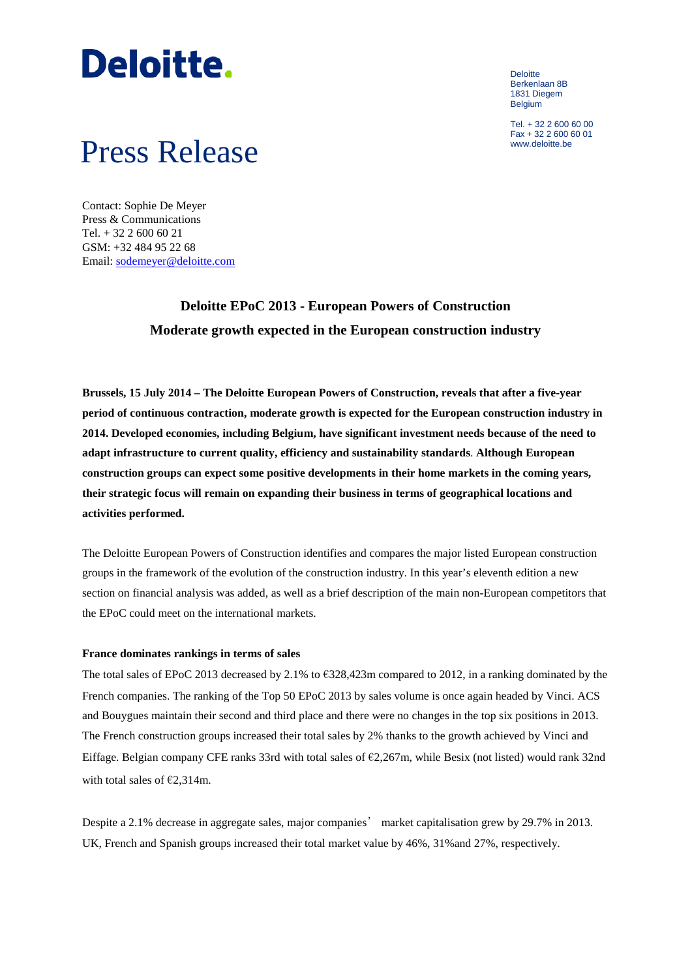# **Deloitte.**

**Deloitte** Berkenlaan 8B 1831 Diegem Belgium

Tel. + 32 2 600 60 00 Fax + 32 2 600 60 01

### Press Release

Contact: Sophie De Meyer Press & Communications Tel. + 32 2 600 60 21 GSM: +32 484 95 22 68 Email: [sodemeyer@deloitte.com](mailto:sodemeyer@deloitte.com)

### **Deloitte EPoC 2013 - European Powers of Construction Moderate growth expected in the European construction industry**

**Brussels, 15 July 2014 – The Deloitte European Powers of Construction, reveals that after a five-year period of continuous contraction, moderate growth is expected for the European construction industry in 2014. Developed economies, including Belgium, have significant investment needs because of the need to adapt infrastructure to current quality, efficiency and sustainability standards**. **Although European construction groups can expect some positive developments in their home markets in the coming years, their strategic focus will remain on expanding their business in terms of geographical locations and activities performed.**

The Deloitte European Powers of Construction identifies and compares the major listed European construction groups in the framework of the evolution of the construction industry. In this year's eleventh edition a new section on financial analysis was added, as well as a brief description of the main non-European competitors that the EPoC could meet on the international markets.

#### **France dominates rankings in terms of sales**

The total sales of EPoC 2013 decreased by 2.1% to  $\epsilon$ 328,423m compared to 2012, in a ranking dominated by the French companies. The ranking of the Top 50 EPoC 2013 by sales volume is once again headed by Vinci. ACS and Bouygues maintain their second and third place and there were no changes in the top six positions in 2013. The French construction groups increased their total sales by 2% thanks to the growth achieved by Vinci and Eiffage. Belgian company CFE ranks 33rd with total sales of €2,267m, while Besix (not listed) would rank 32nd with total sales of  $\epsilon$ 2.314m.

Despite a 2.1% decrease in aggregate sales, major companies' market capitalisation grew by 29.7% in 2013. UK, French and Spanish groups increased their total market value by 46%, 31%and 27%, respectively.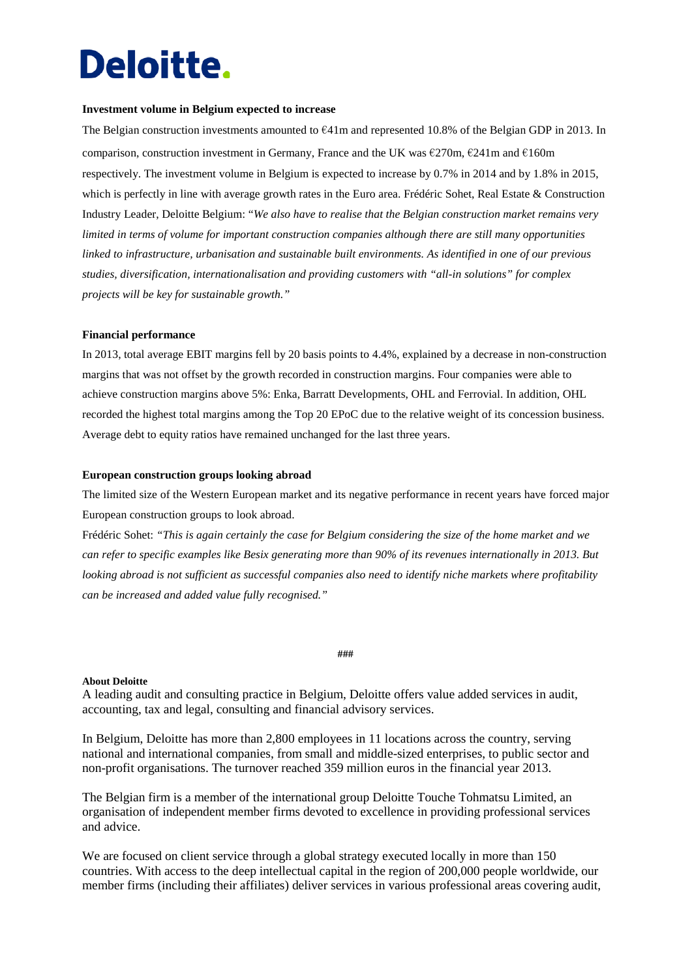## **Deloitte.**

#### **Investment volume in Belgium expected to increase**

The Belgian construction investments amounted to €41m and represented 10.8% of the Belgian GDP in 2013. In comparison, construction investment in Germany, France and the UK was  $\epsilon$ 270m,  $\epsilon$ 241m and  $\epsilon$ 160m respectively. The investment volume in Belgium is expected to increase by 0.7% in 2014 and by 1.8% in 2015, which is perfectly in line with average growth rates in the Euro area. Frédéric Sohet, Real Estate & Construction Industry Leader, Deloitte Belgium: "*We also have to realise that the Belgian construction market remains very limited in terms of volume for important construction companies although there are still many opportunities linked to infrastructure, urbanisation and sustainable built environments. As identified in one of our previous studies, diversification, internationalisation and providing customers with "all-in solutions" for complex projects will be key for sustainable growth."*

#### **Financial performance**

In 2013, total average EBIT margins fell by 20 basis points to 4.4%, explained by a decrease in non-construction margins that was not offset by the growth recorded in construction margins. Four companies were able to achieve construction margins above 5%: Enka, Barratt Developments, OHL and Ferrovial. In addition, OHL recorded the highest total margins among the Top 20 EPoC due to the relative weight of its concession business. Average debt to equity ratios have remained unchanged for the last three years.

#### **European construction groups looking abroad**

The limited size of the Western European market and its negative performance in recent years have forced major European construction groups to look abroad.

Frédéric Sohet: *"This is again certainly the case for Belgium considering the size of the home market and we can refer to specific examples like Besix generating more than 90% of its revenues internationally in 2013. But looking abroad is not sufficient as successful companies also need to identify niche markets where profitability can be increased and added value fully recognised."*

#### **###**

#### **About Deloitte**

A leading audit and consulting practice in Belgium, Deloitte offers value added services in audit, accounting, tax and legal, consulting and financial advisory services.

In Belgium, Deloitte has more than 2,800 employees in 11 locations across the country, serving national and international companies, from small and middle-sized enterprises, to public sector and non-profit organisations. The turnover reached 359 million euros in the financial year 2013.

The Belgian firm is a member of the international group Deloitte Touche Tohmatsu Limited, an organisation of independent member firms devoted to excellence in providing professional services and advice.

We are focused on client service through a global strategy executed locally in more than 150 countries. With access to the deep intellectual capital in the region of 200,000 people worldwide, our member firms (including their affiliates) deliver services in various professional areas covering audit,